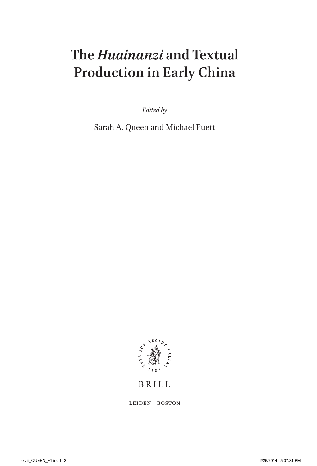# **The** *Huainanzi* **and Textual Production in Early China**

*Edited by*

Sarah A. Queen and Michael Puett



# BRILL

LEIDEN | BOSTON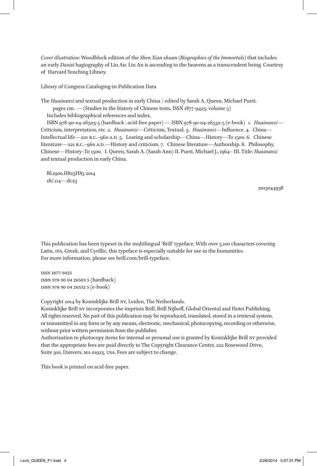*Cover illustration*: Woodblock edition of the *Shen Xian zhuan (Biographies of the Immortals)* that includes *an* early *Daoist* hagiography of Liu An. Liu An is ascending to the heavens as a transcendent being. Courtesy of Harvard Yenching Library.

Library of Congress Cataloging-in-Publication Data

The *Huainanzi* and textual production in early China / edited by Sarah A. Queen, Michael Puett. pages cm. — (Studies in the history of Chinese texts, ISSN 1877-9425; volume 5) Includes bibliographical references and index.

 ISBN 978-90-04-26503-5 (hardback : acid-free paper) — ISBN 978-90-04-26532-5 (e-book) 1. *Huainanzi*— Criticism, interpretation, etc. 2. *Huainanzi*—Criticism, Textual. 3. *Huainanzi*—Influence. 4. China— Intellectual life—221 b.c.–960 a.d. 5. Learing and scholarship—China—History—To 1500. 6. Chinese literature—221 B.C.–960 A.D.—History and criticism. 7. Chinese literature—Authorship. 8. Philosophy, Chinese—History–To 1500. I. Queen, Sarah A. (Sarah Ann) II. Puett, Michael J., 1964– III. Title: *Huainanzi* and textual production in early China.

 BL1900.H825H83 2014 181'.114—dc23

2013044938

This publication has been typeset in the multilingual 'Brill' typeface. With over 5,100 characters covering Latin, ipa, Greek, and Cyrillic, this typeface is especially suitable for use in the humanities. For more information, please see [brill.com/brill-typeface](www.brill.com/brill-typeface).

issn 1877-9425 isbn 978 90 04 26503 5 (hardback) isbn 978 90 04 26532 5 (e-book)

Copyright 2014 by Koninklijke Brill nv, Leiden, The Netherlands.

Koninklijke Brill nv incorporates the imprints Brill, Brill Nijhoff, Global Oriental and Hotei Publishing. All rights reserved. No part of this publication may be reproduced, translated, stored in a retrieval system, or transmitted in any form or by any means, electronic, mechanical, photocopying, recording or otherwise, without prior written permission from the publisher.

Authorization to photocopy items for internal or personal use is granted by Koninklijke Brill nv provided that the appropriate fees are paid directly to The Copyright Clearance Center, 222 Rosewood Drive, Suite 910, Danvers, ma 01923, usa. Fees are subject to change.

This book is printed on acid-free paper.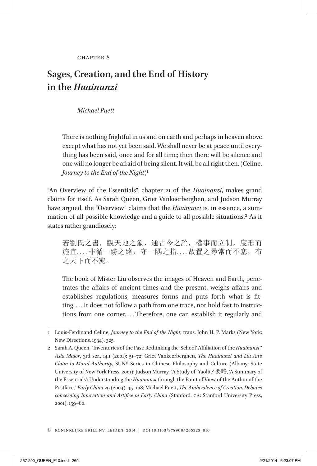# **Sages, Creation, and the End of History in the** *Huainanzi*

*Michael Puett*

There is nothing frightful in us and on earth and perhaps in heaven above except what has not yet been said. We shall never be at peace until everything has been said, once and for all time; then there will be silence and one will no longer be afraid of being silent. It will be all right then. (Celine, *Journey to the End of the Night*)1

"An Overview of the Essentials", chapter 21 of the *Huainanzi*, makes grand claims for itself. As Sarah Queen, Griet Vankeerberghen, and Judson Murray have argued, the "Overview" claims that the *Huainanzi* is, in essence, a summation of all possible knowledge and a guide to all possible situations.2 As it states rather grandiosely:

若劉氏之書,觀天地之象,通古今之論,權事而立制,度形而 施宜. . . . 非循一跡之路,守一隅之指. . . . 故置之尋常而不塞,布 之天下而不窕。

The book of Mister Liu observes the images of Heaven and Earth, penetrates the affairs of ancient times and the present, weighs affairs and establishes regulations, measures forms and puts forth what is fitting. . . . It does not follow a path from one trace, nor hold fast to instructions from one corner. . . . Therefore, one can establish it regularly and

<sup>1</sup> Louis-Ferdinand Celine, *Journey to the End of the Night*, trans. John H. P. Marks (New York: New Directions, 1934), 325.

<sup>2</sup> Sarah A. Queen, "Inventories of the Past: Rethinking the 'School' Affiliation of the *Huainanzi*," *Asia Major*, 3rd ser., 14.1 (2001): 51–72; Griet Vankeerberghen, *The Huainanzi and Liu An's Claim to Moral Authority*, SUNY Series in Chinese Philosophy and Culture (Albany: State University of New York Press, 2001); Judson Murray, "A Study of 'Yaolüe' 要略, 'A Summary of the Essentials': Understanding the *Huainanzi* through the Point of View of the Author of the Postface," *Early China* 29 (2004): 45–108; Michael Puett, *The Ambivalence of Creation: Debates concerning Innovation and Artifice in Early China* (Stanford, CA: Stanford University Press, 2001), 159–60.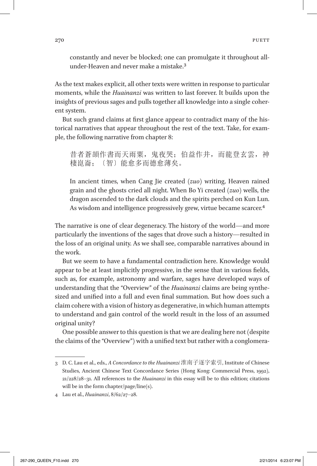constantly and never be blocked; one can promulgate it throughout allunder-Heaven and never make a mistake.3

As the text makes explicit, all other texts were written in response to particular moments, while the *Huainanzi* was written to last forever. It builds upon the insights of previous sages and pulls together all knowledge into a single coherent system.

But such grand claims at first glance appear to contradict many of the historical narratives that appear throughout the rest of the text. Take, for example, the following narrative from chapter 8:

昔者蒼頡作書而天雨粟,鬼夜哭;伯益作井,而龍登玄雲,神 棲崑崙;〔智〕能愈多而德愈薄矣。

In ancient times, when Cang Jie created (*zuo*) writing, Heaven rained grain and the ghosts cried all night. When Bo Yi created (*zuo*) wells, the dragon ascended to the dark clouds and the spirits perched on Kun Lun. As wisdom and intelligence progressively grew, virtue became scarcer.<sup>4</sup>

The narrative is one of clear degeneracy. The history of the world—and more particularly the inventions of the sages that drove such a history—resulted in the loss of an original unity. As we shall see, comparable narratives abound in the work.

But we seem to have a fundamental contradiction here. Knowledge would appear to be at least implicitly progressive, in the sense that in various fields, such as, for example, astronomy and warfare, sages have developed ways of understanding that the "Overview" of the *Huainanzi* claims are being synthesized and unified into a full and even final summation. But how does such a claim cohere with a vision of history as degenerative, in which human attempts to understand and gain control of the world result in the loss of an assumed original unity?

One possible answer to this question is that we are dealing here not (despite the claims of the "Overview") with a unified text but rather with a conglomera-

<sup>3</sup> D. C. Lau et al., eds., *A Concordance to the Huainanzi* 淮南子逐字索引, Institute of Chinese Studies, Ancient Chinese Text Concordance Series (Hong Kong: Commercial Press, 1992), 21/228/28–31. All references to the *Huainanzi* in this essay will be to this edition; citations will be in the form chapter/page/line(s).

<sup>4</sup> Lau et al., *Huainanzi*, 8/62/27–28.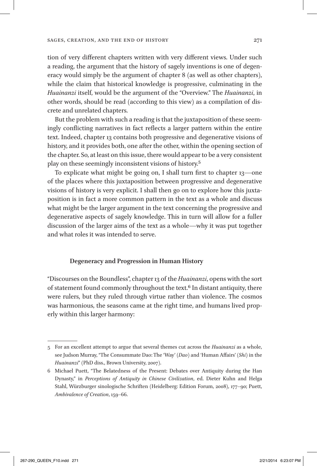tion of very different chapters written with very different views. Under such a reading, the argument that the history of sagely inventions is one of degeneracy would simply be the argument of chapter 8 (as well as other chapters), while the claim that historical knowledge is progressive, culminating in the *Huainanzi* itself, would be the argument of the "Overview." The *Huainanzi*, in other words, should be read (according to this view) as a compilation of discrete and unrelated chapters.

But the problem with such a reading is that the juxtaposition of these seemingly conflicting narratives in fact reflects a larger pattern within the entire text. Indeed, chapter 13 contains both progressive and degenerative visions of history, and it provides both, one after the other, within the opening section of the chapter. So, at least on this issue, there would appear to be a very consistent play on these seemingly inconsistent visions of history.5

To explicate what might be going on, I shall turn first to chapter 13—one of the places where this juxtaposition between progressive and degenerative visions of history is very explicit. I shall then go on to explore how this juxtaposition is in fact a more common pattern in the text as a whole and discuss what might be the larger argument in the text concerning the progressive and degenerative aspects of sagely knowledge. This in turn will allow for a fuller discussion of the larger aims of the text as a whole—why it was put together and what roles it was intended to serve.

## **Degeneracy and Progression in Human History**

"Discourses on the Boundless", chapter 13 of the *Huainanzi*, opens with the sort of statement found commonly throughout the text.6 In distant antiquity, there were rulers, but they ruled through virtue rather than violence. The cosmos was harmonious, the seasons came at the right time, and humans lived properly within this larger harmony:

<sup>5</sup> For an excellent attempt to argue that several themes cut across the *Huainanzi* as a whole, see Judson Murray, "The Consummate Dao: The 'Way' (*Dao*) and 'Human Affairs' (*Shi*) in the *Huainanzi*" (PhD diss., Brown University, 2007).

<sup>6</sup> Michael Puett, "The Belatedness of the Present: Debates over Antiquity during the Han Dynasty," in *Perceptions of Antiquity in Chinese Civilization*, ed. Dieter Kuhn and Helga Stahl, Würzburger sinologische Schriften (Heidelberg: Edition Forum, 2008), 177–90; Puett, *Ambivalence of Creation*, 159–66.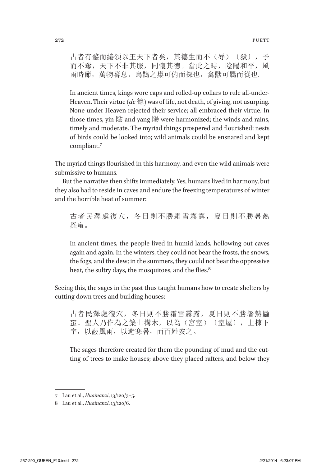古者有鍪而綣領以王天下者矣,其德生而不(辱)〔殺〕,予 而不奪,天下不非其服,同懷其德。當此之時,陰陽和平,風 雨時節,萬物蕃息,烏鵲之巢可俯而探也,禽獸可羈而從也.

In ancient times, kings wore caps and rolled-up collars to rule all-under-Heaven. Their virtue (*de* 德) was of life, not death, of giving, not usurping. None under Heaven rejected their service; all embraced their virtue. In those times, yin 陰 and yang 陽 were harmonized; the winds and rains, timely and moderate. The myriad things prospered and flourished; nests of birds could be looked into; wild animals could be ensnared and kept compliant.7

The myriad things flourished in this harmony, and even the wild animals were submissive to humans.

But the narrative then shifts immediately. Yes, humans lived in harmony, but they also had to reside in caves and endure the freezing temperatures of winter and the horrible heat of summer:

古者民澤處復穴,冬日則不勝霜雪霧露,夏日則不勝暑熱 蟁䖟。

In ancient times, the people lived in humid lands, hollowing out caves again and again. In the winters, they could not bear the frosts, the snows, the fogs, and the dew; in the summers, they could not bear the oppressive heat, the sultry days, the mosquitoes, and the flies.<sup>8</sup>

Seeing this, the sages in the past thus taught humans how to create shelters by cutting down trees and building houses:

古者民澤處復穴,冬日則不勝霜雪霧露,夏日則不勝暑熱蟁 䖟。聖人乃作為之築土構木,以為(宮室)〔室屋〕,上棟下 宇,以蔽風雨,以避寒暑,而百姓安之。

The sages therefore created for them the pounding of mud and the cutting of trees to make houses; above they placed rafters, and below they

<sup>7</sup> Lau et al., *Huainanzi*, 13/120/3–5.

<sup>8</sup> Lau et al., *Huainanzi*, 13/120/6.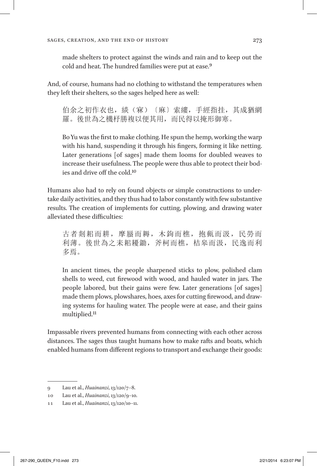made shelters to protect against the winds and rain and to keep out the cold and heat. The hundred families were put at ease.9

And, of course, humans had no clothing to withstand the temperatures when they left their shelters, so the sages helped here as well:

伯余之初作衣也, 緂(寐)〔麻〕索縷, 手經指挂, 其成猶網 羅。後世為之機杼勝複以便其用,而民得以掩形御寒。

Bo Yu was the first to make clothing. He spun the hemp, working the warp with his hand, suspending it through his fingers, forming it like netting. Later generations [of sages] made them looms for doubled weaves to increase their usefulness. The people were thus able to protect their bodies and drive off the cold.10

Humans also had to rely on found objects or simple constructions to undertake daily activities, and they thus had to labor constantly with few substantive results. The creation of implements for cutting, plowing, and drawing water alleviated these difficulties:

古者剡耜而耕,摩蜃而耨,木鉤而樵,抱甀而汲,民勞而 利薄。後世為之耒耜耰鋤,斧柯而樵,桔皋而汲,民逸而利 多焉。

In ancient times, the people sharpened sticks to plow, polished clam shells to weed, cut firewood with wood, and hauled water in jars. The people labored, but their gains were few. Later generations [of sages] made them plows, plowshares, hoes, axes for cutting firewood, and drawing systems for hauling water. The people were at ease, and their gains multiplied.11

Impassable rivers prevented humans from connecting with each other across distances. The sages thus taught humans how to make rafts and boats, which enabled humans from different regions to transport and exchange their goods:

<sup>9</sup> Lau et al., *Huainanzi*, 13/120/7–8.

<sup>10</sup> Lau et al., *Huainanzi*, 13/120/9–10.

<sup>11</sup> Lau et al., *Huainanzi*, 13/120/10–11.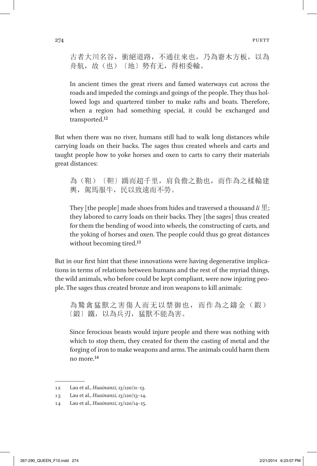古者大川名谷,衝絕道路,不通往來也,乃為窬木方板,以為 舟航,故(也)〔地〕勢有无,得相委輸。

In ancient times the great rivers and famed waterways cut across the roads and impeded the comings and goings of the people. They thus hollowed logs and quartered timber to make rafts and boats. Therefore, when a region had something special, it could be exchanged and transported.12

But when there was no river, humans still had to walk long distances while carrying loads on their backs. The sages thus created wheels and carts and taught people how to yoke horses and oxen to carts to carry their materials great distances:

為(靻)〔靼〕蹻而超千里,肩負儋之勤也,而作為之楺輪建 輿,駕馬服牛,民以致遠而不勞。

They [the people] made shoes from hides and traversed a thousand *li* 里; they labored to carry loads on their backs. They [the sages] thus created for them the bending of wood into wheels, the constructing of carts, and the yoking of horses and oxen. The people could thus go great distances without becoming tired.<sup>13</sup>

But in our first hint that these innovations were having degenerative implications in terms of relations between humans and the rest of the myriad things, the wild animals, who before could be kept compliant, were now injuring people. The sages thus created bronze and iron weapons to kill animals:

為鷙禽猛獸之害傷人而无以禁御也,而作為之鑄金(鍜) 〔鍛〕鐵,以為兵刃,猛獸不能為害。

Since ferocious beasts would injure people and there was nothing with which to stop them, they created for them the casting of metal and the forging of iron to make weapons and arms. The animals could harm them no more <sup>14</sup>

<sup>12</sup> Lau et al., *Huainanzi*, 13/120/11–13.

<sup>13</sup> Lau et al., *Huainanzi*, 13/120/13–14.

<sup>14</sup> Lau et al., *Huainanzi*, 13/120/14–15.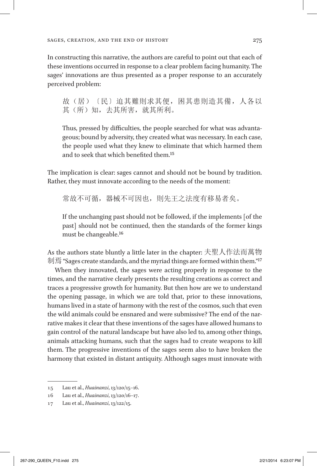In constructing this narrative, the authors are careful to point out that each of these inventions occurred in response to a clear problem facing humanity. The sages' innovations are thus presented as a proper response to an accurately perceived problem:

故(居)〔民〕迫其難則求其便,困其患則造其備,人各以 其(所)知,去其所害,就其所利。

Thus, pressed by difficulties, the people searched for what was advantageous; bound by adversity, they created what was necessary. In each case, the people used what they knew to eliminate that which harmed them and to seek that which benefited them.15

The implication is clear: sages cannot and should not be bound by tradition. Rather, they must innovate according to the needs of the moment:

常故不可循,器械不可因也,則先王之法度有移易者矣。

If the unchanging past should not be followed, if the implements [of the past] should not be continued, then the standards of the former kings must be changeable.16

As the authors state bluntly a little later in the chapter: 夫聖人作法而萬物 制焉 "Sages create standards, and the myriad things are formed within them."<sup>17</sup>

When they innovated, the sages were acting properly in response to the times, and the narrative clearly presents the resulting creations as correct and traces a progressive growth for humanity. But then how are we to understand the opening passage, in which we are told that, prior to these innovations, humans lived in a state of harmony with the rest of the cosmos, such that even the wild animals could be ensnared and were submissive? The end of the narrative makes it clear that these inventions of the sages have allowed humans to gain control of the natural landscape but have also led to, among other things, animals attacking humans, such that the sages had to create weapons to kill them. The progressive inventions of the sages seem also to have broken the harmony that existed in distant antiquity. Although sages must innovate with

<sup>15</sup> Lau et al., *Huainanzi*, 13/120/15–16.

<sup>16</sup> Lau et al., *Huainanzi*, 13/120/16–17.

<sup>17</sup> Lau et al., *Huainanzi*, 13/122/15.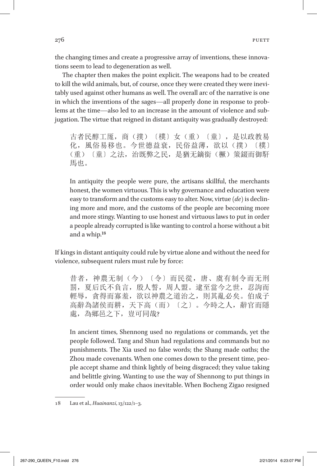the changing times and create a progressive array of inventions, these innovations seem to lead to degeneration as well.

The chapter then makes the point explicit. The weapons had to be created to kill the wild animals, but, of course, once they were created they were inevitably used against other humans as well. The overall arc of the narrative is one in which the inventions of the sages—all properly done in response to problems at the time—also led to an increase in the amount of violence and subjugation. The virtue that reigned in distant antiquity was gradually destroyed:

古者民醇工厖,商(撲)〔樸〕女(重)〔童〕,是以政教易 化,風俗易移也。今世德益衰,民俗益薄,欲以(撲)〔樸〕   (重)〔童〕之法,治既弊之民,是猶无鏑銜(橛)策錣而御馯 馬也。

In antiquity the people were pure, the artisans skillful, the merchants honest, the women virtuous. This is why governance and education were easy to transform and the customs easy to alter. Now, virtue (*de*) is declining more and more, and the customs of the people are becoming more and more stingy. Wanting to use honest and virtuous laws to put in order a people already corrupted is like wanting to control a horse without a bit and a whip.18

If kings in distant antiquity could rule by virtue alone and without the need for violence, subsequent rulers must rule by force:

昔者,神農无制(今)〔令〕而民從,唐、虞有制令而无刑 罰,夏后氏不負言,殷人誓,周人盟。逮至當今之世,忍訽而 輕辱, 貪得而寡羞, 欲以神農之道治之, 則其亂必矣。伯成子 高辭為諸侯而耕,天下高(而)〔之〕。今時之人,辭官而隱 處,為鄉邑之下,豈可同哉?

In ancient times, Shennong used no regulations or commands, yet the people followed. Tang and Shun had regulations and commands but no punishments. The Xia used no false words; the Shang made oaths; the Zhou made covenants. When one comes down to the present time, people accept shame and think lightly of being disgraced; they value taking and belittle giving. Wanting to use the way of Shennong to put things in order would only make chaos inevitable. When Bocheng Zigao resigned

<sup>18</sup> Lau et al., *Huainanzi*, 13/122/1–3.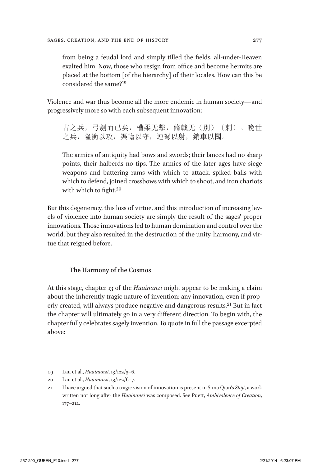from being a feudal lord and simply tilled the fields, all-under-Heaven exalted him. Now, those who resign from office and become hermits are placed at the bottom [of the hierarchy] of their locales. How can this be considered the same?19

Violence and war thus become all the more endemic in human society—and progressively more so with each subsequent innovation:

古之兵,弓劍而已矣,槽柔无擊,脩戟无(別)〔刺〕。晚世 之兵,隆衝以攻,渠幨以守,連弩以射,銷車以鬭。

The armies of antiquity had bows and swords; their lances had no sharp points, their halberds no tips. The armies of the later ages have siege weapons and battering rams with which to attack, spiked balls with which to defend, joined crossbows with which to shoot, and iron chariots with which to fight.<sup>20</sup>

But this degeneracy, this loss of virtue, and this introduction of increasing levels of violence into human society are simply the result of the sages' proper innovations. Those innovations led to human domination and control over the world, but they also resulted in the destruction of the unity, harmony, and virtue that reigned before.

# **The Harmony of the Cosmos**

At this stage, chapter 13 of the *Huainanzi* might appear to be making a claim about the inherently tragic nature of invention: any innovation, even if properly created, will always produce negative and dangerous results.21 But in fact the chapter will ultimately go in a very different direction. To begin with, the chapter fully celebrates sagely invention. To quote in full the passage excerpted above:

<sup>19</sup> Lau et al., *Huainanzi*, 13/122/3–6.

<sup>20</sup> Lau et al., *Huainanzi*, 13/122/6–7.

<sup>21</sup> I have argued that such a tragic vision of innovation is present in Sima Qian's *Shiji*, a work written not long after the *Huainanzi* was composed. See Puett, *Ambivalence of Creation*, 177–212.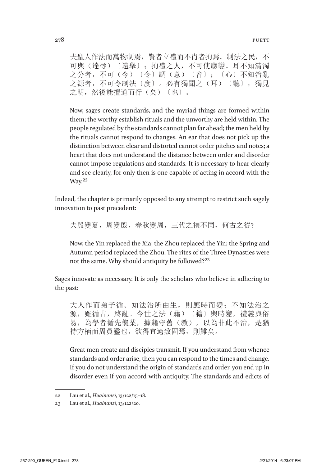夫聖人作法而萬物制焉,賢者立禮而不肖者拘焉。制法之民,不 可與(達辱)〔遠舉〕;拘禮之人,不可使應變。耳不知清濁 之分者,不可(今)〔令〕調(意)〔音〕;〔心〕不知治亂 之源者,不可令制法〔度〕。必有獨聞之(耳)〔聽〕,獨見 之明,然後能擅道而行(矣)〔也〕。

Now, sages create standards, and the myriad things are formed within them; the worthy establish rituals and the unworthy are held within. The people regulated by the standards cannot plan far ahead; the men held by the rituals cannot respond to changes. An ear that does not pick up the distinction between clear and distorted cannot order pitches and notes; a heart that does not understand the distance between order and disorder cannot impose regulations and standards. It is necessary to hear clearly and see clearly, for only then is one capable of acting in accord with the Way.22

Indeed, the chapter is primarily opposed to any attempt to restrict such sagely innovation to past precedent:

夫殷變夏,周變殷,春秋變周,三代之禮不同,何古之從?

Now, the Yin replaced the Xia; the Zhou replaced the Yin; the Spring and Autumn period replaced the Zhou. The rites of the Three Dynasties were not the same. Why should antiquity be followed?<sup>23</sup>

Sages innovate as necessary. It is only the scholars who believe in adhering to the past:

大人作而弟子循。知法治所由生,則應時而變;不知法治之 源, 雖循古, 終亂。今世之法(藉)〔籍〕與時變, 禮義與俗 易,為學者循先襲業,據籍守舊(教),以為非此不治,是猶 持方柄而周員鑿也,欲得宜適致固焉,則難矣。

Great men create and disciples transmit. If you understand from whence standards and order arise, then you can respond to the times and change. If you do not understand the origin of standards and order, you end up in disorder even if you accord with antiquity. The standards and edicts of

<sup>22</sup> Lau et al., *Huainanzi*, 13/122/15–18.

<sup>23</sup> Lau et al., *Huainanzi*, 13/122/20.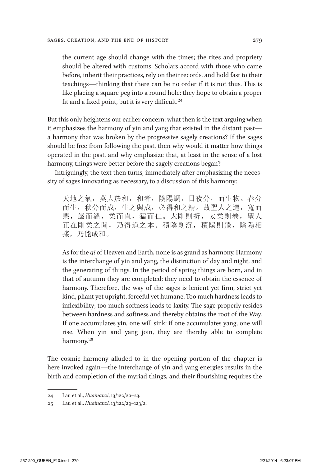the current age should change with the times; the rites and propriety should be altered with customs. Scholars accord with those who came before, inherit their practices, rely on their records, and hold fast to their teachings—thinking that there can be no order if it is not thus. This is like placing a square peg into a round hole: they hope to obtain a proper fit and a fixed point, but it is very difficult.24

But this only heightens our earlier concern: what then is the text arguing when it emphasizes the harmony of yin and yang that existed in the distant past a harmony that was broken by the progressive sagely creations? If the sages should be free from following the past, then why would it matter how things operated in the past, and why emphasize that, at least in the sense of a lost harmony, things were better before the sagely creations began?

Intriguingly, the text then turns, immediately after emphasizing the necessity of sages innovating as necessary, to a discussion of this harmony:

天地之氣,莫大於和,和者,陰陽調,日夜分,而生物。春分 而生,秋分而成,生之與成,必得和之精。故聖人之道,寬而 栗, 嚴而溫,柔而直,猛而仁。太剛則折,太柔則卷, 聖人 正在剛柔之閒, 乃得道之本。積陰則沉, 積陽則飛, 陰陽相 接,乃能成和。

As for the *qi* of Heaven and Earth, none is as grand as harmony. Harmony is the interchange of yin and yang, the distinction of day and night, and the generating of things. In the period of spring things are born, and in that of autumn they are completed; they need to obtain the essence of harmony. Therefore, the way of the sages is lenient yet firm, strict yet kind, pliant yet upright, forceful yet humane. Too much hardness leads to inflexibility; too much softness leads to laxity. The sage properly resides between hardness and softness and thereby obtains the root of the Way. If one accumulates yin, one will sink; if one accumulates yang, one will rise. When yin and yang join, they are thereby able to complete harmony.25

The cosmic harmony alluded to in the opening portion of the chapter is here invoked again—the interchange of yin and yang energies results in the birth and completion of the myriad things, and their flourishing requires the

<sup>24</sup> Lau et al., *Huainanzi*, 13/122/20–23.

<sup>25</sup> Lau et al., *Huainanzi*, 13/122/29–123/2.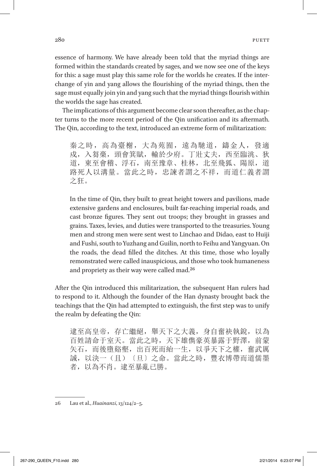essence of harmony. We have already been told that the myriad things are formed within the standards created by sages, and we now see one of the keys for this: a sage must play this same role for the worlds he creates. If the interchange of yin and yang allows the flourishing of the myriad things, then the sage must equally join yin and yang such that the myriad things flourish within the worlds the sage has created.

The implications of this argument become clear soon thereafter, as the chapter turns to the more recent period of the Qin unification and its aftermath. The Qin, according to the text, introduced an extreme form of militarization:

秦之時,高為臺榭,大為苑囿,遠為馳道,鑄金人,發適 戍,入芻槀,頭會箕賦,輸於少府。丁壯丈夫,西至臨洮、狄 道,東至會稽、浮石,南至豫章、桂林,北至飛狐、陽原,道 路死人以溝量。當此之時,忠諫者謂之不祥,而道仁義者謂 之狂。

In the time of Qin, they built to great height towers and pavilions, made extensive gardens and enclosures, built far-reaching imperial roads, and cast bronze figures. They sent out troops; they brought in grasses and grains. Taxes, levies, and duties were transported to the treasuries. Young men and strong men were sent west to Linchao and Didao, east to Huiji and Fushi, south to Yuzhang and Guilin, north to Feihu and Yangyuan. On the roads, the dead filled the ditches. At this time, those who loyally remonstrated were called inauspicious, and those who took humaneness and propriety as their way were called mad.26

After the Qin introduced this militarization, the subsequent Han rulers had to respond to it. Although the founder of the Han dynasty brought back the teachings that the Qin had attempted to extinguish, the first step was to unify the realm by defeating the Qin:

逮至高皇帝,存亡繼絕,舉天下之大義,身自奮袂執銳,以為 百姓請命于室天。當此之時,天下雄儁豪英暴露于野澤,前蒙 矢石,而後墮谿壑,出百死而紿一生,以爭天下之權,奮武厲 誠, 以決一(且)(旦)之命。當此之時, 豐衣博帶而道儒墨 者,以為不肖。逮至暴亂已勝。

<sup>26</sup> Lau et al., *Huainanzi*, 13/124/2–5.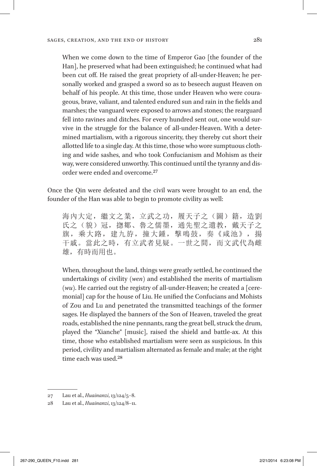When we come down to the time of Emperor Gao [the founder of the Han], he preserved what had been extinguished; he continued what had been cut off. He raised the great propriety of all-under-Heaven; he personally worked and grasped a sword so as to beseech august Heaven on behalf of his people. At this time, those under Heaven who were courageous, brave, valiant, and talented endured sun and rain in the fields and marshes; the vanguard were exposed to arrows and stones; the rearguard fell into ravines and ditches. For every hundred sent out, one would survive in the struggle for the balance of all-under-Heaven. With a determined martialism, with a rigorous sincerity, they thereby cut short their allotted life to a single day. At this time, those who wore sumptuous clothing and wide sashes, and who took Confucianism and Mohism as their way, were considered unworthy. This continued until the tyranny and disorder were ended and overcome.27

Once the Qin were defeated and the civil wars were brought to an end, the founder of the Han was able to begin to promote civility as well:

海内大定, 繼文之業, 立武之功, 履天子之(圖) 籍, 造劉 氏之(貌)冠, 揔鄒、魯之儒墨, 通先聖之遺教, 戴天子之 旗,乘大路,建九斿,撞大鍾,擊鳴鼓,奏《咸池》,揚 干戚。當此之時,有立武者見疑。一世之間,而文武代為雌 雄,有時而用也。

When, throughout the land, things were greatly settled, he continued the undertakings of civility (*wen*) and established the merits of martialism (*wu*). He carried out the registry of all-under-Heaven; he created a [ceremonial] cap for the house of Liu. He unified the Confucians and Mohists of Zou and Lu and penetrated the transmitted teachings of the former sages. He displayed the banners of the Son of Heaven, traveled the great roads, established the nine pennants, rang the great bell, struck the drum, played the "Xianche" [music], raised the shield and battle-ax. At this time, those who established martialism were seen as suspicious. In this period, civility and martialism alternated as female and male; at the right time each was used.28

<sup>27</sup> Lau et al., *Huainanzi*, 13/124/5–8.

<sup>28</sup> Lau et al., *Huainanzi*, 13/124/8–11.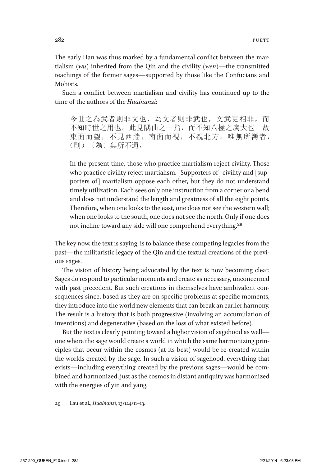The early Han was thus marked by a fundamental conflict between the martialism (*wu*) inherited from the Qin and the civility (*wen*)—the transmitted teachings of the former sages—supported by those like the Confucians and Mohists.

Such a conflict between martialism and civility has continued up to the time of the authors of the *Huainanzi*:

今世之為武者則非文也,為文者則非武也,文武更相非,而 不知時世之用也。此見隅曲之一指,而不知八極之廣大也。故 東面而望,不見西牆;南面而視,不覩北方;唯無所嚮者,  (則)〔為〕無所不通。

In the present time, those who practice martialism reject civility. Those who practice civility reject martialism. [Supporters of] civility and [supporters of] martialism oppose each other, but they do not understand timely utilization. Each sees only one instruction from a corner or a bend and does not understand the length and greatness of all the eight points. Therefore, when one looks to the east, one does not see the western wall; when one looks to the south, one does not see the north. Only if one does not incline toward any side will one comprehend everything.29

The key now, the text is saying, is to balance these competing legacies from the past—the militaristic legacy of the Qin and the textual creations of the previous sages.

The vision of history being advocated by the text is now becoming clear. Sages do respond to particular moments and create as necessary, unconcerned with past precedent. But such creations in themselves have ambivalent consequences since, based as they are on specific problems at specific moments, they introduce into the world new elements that can break an earlier harmony. The result is a history that is both progressive (involving an accumulation of inventions) and degenerative (based on the loss of what existed before).

But the text is clearly pointing toward a higher vision of sagehood as well one where the sage would create a world in which the same harmonizing principles that occur within the cosmos (at its best) would be re-created within the worlds created by the sage. In such a vision of sagehood, everything that exists—including everything created by the previous sages—would be combined and harmonized, just as the cosmos in distant antiquity was harmonized with the energies of yin and yang.

<sup>29</sup> Lau et al., *Huainanzi*, 13/124/11–13.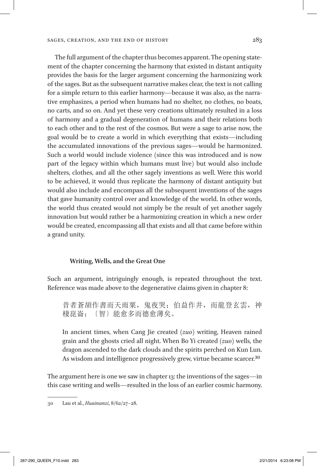The full argument of the chapter thus becomes apparent. The opening statement of the chapter concerning the harmony that existed in distant antiquity provides the basis for the larger argument concerning the harmonizing work of the sages. But as the subsequent narrative makes clear, the text is not calling for a simple return to this earlier harmony—because it was also, as the narrative emphasizes, a period when humans had no shelter, no clothes, no boats, no carts, and so on. And yet these very creations ultimately resulted in a loss of harmony and a gradual degeneration of humans and their relations both to each other and to the rest of the cosmos. But were a sage to arise now, the goal would be to create a world in which everything that exists—including the accumulated innovations of the previous sages—would be harmonized. Such a world would include violence (since this was introduced and is now part of the legacy within which humans must live) but would also include shelters, clothes, and all the other sagely inventions as well. Were this world to be achieved, it would thus replicate the harmony of distant antiquity but would also include and encompass all the subsequent inventions of the sages that gave humanity control over and knowledge of the world. In other words, the world thus created would not simply be the result of yet another sagely innovation but would rather be a harmonizing creation in which a new order would be created, encompassing all that exists and all that came before within a grand unity.

# **Writing, Wells, and the Great One**

Such an argument, intriguingly enough, is repeated throughout the text. Reference was made above to the degenerative claims given in chapter 8:

昔者蒼頡作書而天雨粟,鬼夜哭;伯益作井,而龍登玄雲,神 棲崑崙;〔智〕能愈多而德愈薄矣。

In ancient times, when Cang Jie created (*zuo*) writing, Heaven rained grain and the ghosts cried all night. When Bo Yi created (*zuo*) wells, the dragon ascended to the dark clouds and the spirits perched on Kun Lun. As wisdom and intelligence progressively grew, virtue became scarcer.<sup>30</sup>

The argument here is one we saw in chapter 13: the inventions of the sages—in this case writing and wells—resulted in the loss of an earlier cosmic harmony.

<sup>30</sup> Lau et al., *Huainanzi*, 8/62/27–28.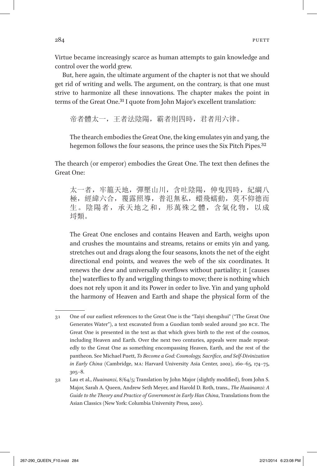Virtue became increasingly scarce as human attempts to gain knowledge and control over the world grew.

But, here again, the ultimate argument of the chapter is not that we should get rid of writing and wells. The argument, on the contrary, is that one must strive to harmonize all these innovations. The chapter makes the point in terms of the Great One.31 I quote from John Major's excellent translation:

帝者體太一,王者法陰陽,霸者則四時,君者用六律。

The thearch embodies the Great One, the king emulates yin and yang, the hegemon follows the four seasons, the prince uses the Six Pitch Pipes.<sup>32</sup>

The thearch (or emperor) embodies the Great One. The text then defines the Great One:

太一者,牢籠天地,彈壓山川,含吐陰陽,伸曳四時,紀綱八 極,經緯六合,覆露照導,普氾無私,蠉飛蠕動,莫不仰德而 生。陰陽者,承天地之和,形萬殊之體,含氣化物,以成 埒類。

The Great One encloses and contains Heaven and Earth, weighs upon and crushes the mountains and streams, retains or emits yin and yang, stretches out and drags along the four seasons, knots the net of the eight directional end points, and weaves the web of the six coordinates. It renews the dew and universally overflows without partiality; it [causes the] waterflies to fly and wriggling things to move; there is nothing which does not rely upon it and its Power in order to live. Yin and yang uphold the harmony of Heaven and Earth and shape the physical form of the

<sup>31</sup> One of our earliest references to the Great One is the "Taiyi shengshui" ("The Great One Generates Water"), a text excavated from a Guodian tomb sealed around 300 BCE. The Great One is presented in the text as that which gives birth to the rest of the cosmos, including Heaven and Earth. Over the next two centuries, appeals were made repeatedly to the Great One as something encompassing Heaven, Earth, and the rest of the pantheon. See Michael Puett, *To Become a God: Cosmology, Sacrifice, and Self-Divinization in Early China* (Cambridge, MA: Harvard University Asia Center, 2002), 160–65, 174–75, 305–8.

<sup>32</sup> Lau et al., *Huainanzi*, 8/64/5; Translation by John Major (slightly modified), from John S. Major, Sarah A. Queen, Andrew Seth Meyer, and Harold D. Roth, trans., *The Huainanzi: A Guide to the Theory and Practice of Government in Early Han China*, Translations from the Asian Classics (New York: Columbia University Press, 2010).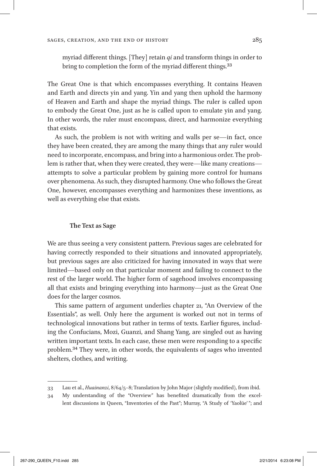myriad different things. [They] retain *qi* and transform things in order to bring to completion the form of the myriad different things.<sup>33</sup>

The Great One is that which encompasses everything. It contains Heaven and Earth and directs yin and yang. Yin and yang then uphold the harmony of Heaven and Earth and shape the myriad things. The ruler is called upon to embody the Great One, just as he is called upon to emulate yin and yang. In other words, the ruler must encompass, direct, and harmonize everything that exists.

As such, the problem is not with writing and walls per se—in fact, once they have been created, they are among the many things that any ruler would need to incorporate, encompass, and bring into a harmonious order. The problem is rather that, when they were created, they were—like many creations attempts to solve a particular problem by gaining more control for humans over phenomena. As such, they disrupted harmony. One who follows the Great One, however, encompasses everything and harmonizes these inventions, as well as everything else that exists.

#### **The Text as Sage**

We are thus seeing a very consistent pattern. Previous sages are celebrated for having correctly responded to their situations and innovated appropriately, but previous sages are also criticized for having innovated in ways that were limited—based only on that particular moment and failing to connect to the rest of the larger world. The higher form of sagehood involves encompassing all that exists and bringing everything into harmony—just as the Great One does for the larger cosmos.

This same pattern of argument underlies chapter 21, "An Overview of the Essentials", as well. Only here the argument is worked out not in terms of technological innovations but rather in terms of texts. Earlier figures, including the Confucians, Mozi, Guanzi, and Shang Yang, are singled out as having written important texts. In each case, these men were responding to a specific problem.34 They were, in other words, the equivalents of sages who invented shelters, clothes, and writing.

<sup>33</sup> Lau et al., *Huainanzi*, 8/64/5–8; Translation by John Major (slightly modified), from ibid.

<sup>34</sup> My understanding of the "Overview" has benefited dramatically from the excellent discussions in Queen, "Inventories of the Past"; Murray, "A Study of 'Yaolüe' "; and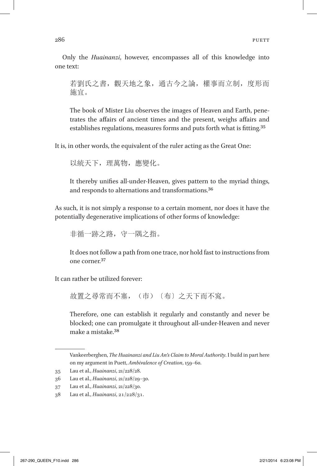Only the *Huainanzi*, however, encompasses all of this knowledge into one text:

若劉氏之書,觀天地之象,通古今之論,權事而立制,度形而 施宜。

The book of Mister Liu observes the images of Heaven and Earth, penetrates the affairs of ancient times and the present, weighs affairs and establishes regulations, measures forms and puts forth what is fitting.<sup>35</sup>

It is, in other words, the equivalent of the ruler acting as the Great One:

以統天下,理萬物,應變化。

It thereby unifies all-under-Heaven, gives pattern to the myriad things, and responds to alternations and transformations.36

As such, it is not simply a response to a certain moment, nor does it have the potentially degenerative implications of other forms of knowledge:

非循一跡之路,守一隅之指。

It does not follow a path from one trace, nor hold fast to instructions from one corner.37

It can rather be utilized forever:

故置之尋常而不塞, (市) (布) 之天下而不窕。

Therefore, one can establish it regularly and constantly and never be blocked; one can promulgate it throughout all-under-Heaven and never make a mistake.38

Vankeerberghen, *The Huainanzi and Liu An's Claim to Moral Authority*. I build in part here on my argument in Puett, *Ambivalence of Creation*, 159–60.

<sup>35</sup> Lau et al., *Huainanzi*, 21/228/28.

<sup>36</sup> Lau et al., *Huainanzi*, 21/228/29–30.

<sup>37</sup> Lau et al., *Huainanzi*, 21/228/30.

<sup>38</sup> Lau et al., *Huainanzi*, 21/228/31.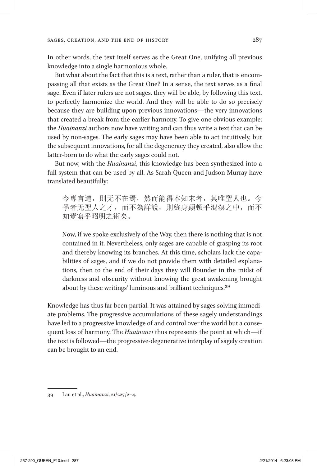In other words, the text itself serves as the Great One, unifying all previous knowledge into a single harmonious whole.

But what about the fact that this is a text, rather than a ruler, that is encompassing all that exists as the Great One? In a sense, the text serves as a final sage. Even if later rulers are not sages, they will be able, by following this text, to perfectly harmonize the world. And they will be able to do so precisely because they are building upon previous innovations—the very innovations that created a break from the earlier harmony. To give one obvious example: the *Huainanzi* authors now have writing and can thus write a text that can be used by non-sages. The early sages may have been able to act intuitively, but the subsequent innovations, for all the degeneracy they created, also allow the latter-born to do what the early sages could not.

But now, with the *Huainanzi*, this knowledge has been synthesized into a full system that can be used by all. As Sarah Queen and Judson Murray have translated beautifully:

今專言道,則无不在焉,然而能得本知末者,其唯聖人也。今 學者无聖人之才,而不為詳說,則終身顛頓乎混溟之中,而不 知覺寤乎昭明之術矣。

Now, if we spoke exclusively of the Way, then there is nothing that is not contained in it. Nevertheless, only sages are capable of grasping its root and thereby knowing its branches. At this time, scholars lack the capabilities of sages, and if we do not provide them with detailed explanations, then to the end of their days they will flounder in the midst of darkness and obscurity without knowing the great awakening brought about by these writings' luminous and brilliant techniques.<sup>39</sup>

Knowledge has thus far been partial. It was attained by sages solving immediate problems. The progressive accumulations of these sagely understandings have led to a progressive knowledge of and control over the world but a consequent loss of harmony. The *Huainanzi* thus represents the point at which—if the text is followed—the progressive-degenerative interplay of sagely creation can be brought to an end.

<sup>39</sup> Lau et al., *Huainanzi*, 21/227/2–4.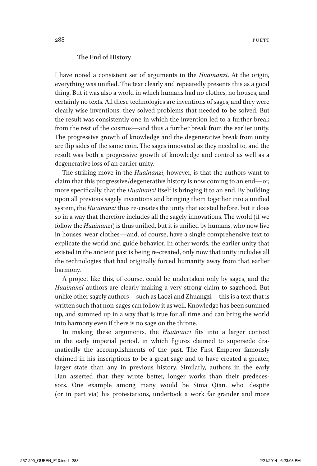### **The End of History**

I have noted a consistent set of arguments in the *Huainanzi*. At the origin, everything was unified. The text clearly and repeatedly presents this as a good thing. But it was also a world in which humans had no clothes, no houses, and certainly no texts. All these technologies are inventions of sages, and they were clearly wise inventions: they solved problems that needed to be solved. But the result was consistently one in which the invention led to a further break from the rest of the cosmos—and thus a further break from the earlier unity. The progressive growth of knowledge and the degenerative break from unity are flip sides of the same coin. The sages innovated as they needed to, and the result was both a progressive growth of knowledge and control as well as a degenerative loss of an earlier unity.

The striking move in the *Huainanzi*, however, is that the authors want to claim that this progressive/degenerative history is now coming to an end—or, more specifically, that the *Huainanzi* itself is bringing it to an end. By building upon all previous sagely inventions and bringing them together into a unified system, the *Huainanzi* thus re-creates the unity that existed before, but it does so in a way that therefore includes all the sagely innovations. The world (if we follow the *Huainanzi*) is thus unified, but it is unified by humans, who now live in houses, wear clothes—and, of course, have a single comprehensive text to explicate the world and guide behavior. In other words, the earlier unity that existed in the ancient past is being re-created, only now that unity includes all the technologies that had originally forced humanity away from that earlier harmony.

A project like this, of course, could be undertaken only by sages, and the *Huainanzi* authors are clearly making a very strong claim to sagehood. But unlike other sagely authors—such as Laozi and Zhuangzi—this is a text that is written such that non-sages can follow it as well. Knowledge has been summed up, and summed up in a way that is true for all time and can bring the world into harmony even if there is no sage on the throne.

In making these arguments, the *Huainanzi* fits into a larger context in the early imperial period, in which figures claimed to supersede dramatically the accomplishments of the past. The First Emperor famously claimed in his inscriptions to be a great sage and to have created a greater, larger state than any in previous history. Similarly, authors in the early Han asserted that they wrote better, longer works than their predecessors. One example among many would be Sima Qian, who, despite (or in part via) his protestations, undertook a work far grander and more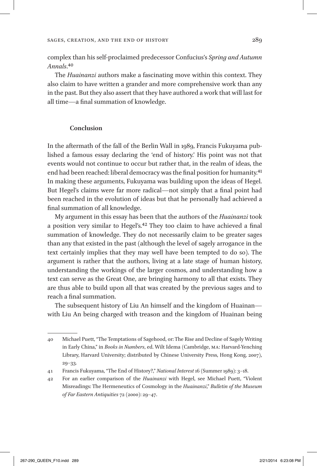complex than his self-proclaimed predecessor Confucius's *Spring and Autumn Annals*.40

The *Huainanzi* authors make a fascinating move within this context. They also claim to have written a grander and more comprehensive work than any in the past. But they also assert that they have authored a work that will last for all time—a final summation of knowledge.

# **Conclusion**

In the aftermath of the fall of the Berlin Wall in 1989, Francis Fukuyama published a famous essay declaring the 'end of history.' His point was not that events would not continue to occur but rather that, in the realm of ideas, the end had been reached: liberal democracy was the final position for humanity.<sup>41</sup> In making these arguments, Fukuyama was building upon the ideas of Hegel. But Hegel's claims were far more radical—not simply that a final point had been reached in the evolution of ideas but that he personally had achieved a final summation of all knowledge.

My argument in this essay has been that the authors of the *Huainanzi* took a position very similar to Hegel's.42 They too claim to have achieved a final summation of knowledge. They do not necessarily claim to be greater sages than any that existed in the past (although the level of sagely arrogance in the text certainly implies that they may well have been tempted to do so). The argument is rather that the authors, living at a late stage of human history, understanding the workings of the larger cosmos, and understanding how a text can serve as the Great One, are bringing harmony to all that exists. They are thus able to build upon all that was created by the previous sages and to reach a final summation.

The subsequent history of Liu An himself and the kingdom of Huainan with Liu An being charged with treason and the kingdom of Huainan being

<sup>40</sup> Michael Puett, "The Temptations of Sagehood, or: The Rise and Decline of Sagely Writing in Early China," in *Books in Numbers*, ed. Wilt Idema (Cambridge, MA: Harvard-Yenching Library, Harvard University; distributed by Chinese University Press, Hong Kong, 2007), 29–33.

<sup>41</sup> Francis Fukuyama, "The End of History?," *National Interest* 16 (Summer 1989): 3–18.

<sup>42</sup> For an earlier comparison of the *Huainanzi* with Hegel, see Michael Puett, "Violent Misreadings: The Hermeneutics of Cosmology in the *Huainanzi*," *Bulletin of the Museum of Far Eastern Antiquities* 72 (2000): 29–47.